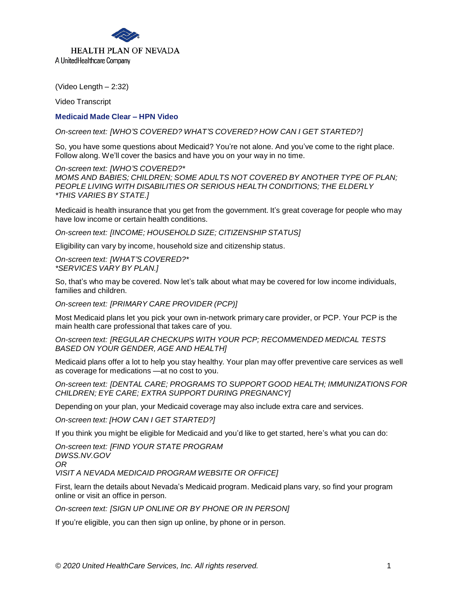

(Video Length – 2:32)

Video Transcript

## **Medicaid Made Clear – HPN Video**

*On-screen text: [WHO'S COVERED? WHAT'S COVERED? HOW CAN I GET STARTED?]*

So, you have some questions about Medicaid? You're not alone. And you've come to the right place. Follow along. We'll cover the basics and have you on your way in no time.

*On-screen text: [WHO'S COVERED?\* MOMS AND BABIES; CHILDREN; SOME ADULTS NOT COVERED BY ANOTHER TYPE OF PLAN; PEOPLE LIVING WITH DISABILITIES OR SERIOUS HEALTH CONDITIONS; THE ELDERLY \*THIS VARIES BY STATE.]*

Medicaid is health insurance that you get from the government. It's great coverage for people who may have low income or certain health conditions.

*On-screen text: [INCOME; HOUSEHOLD SIZE; CITIZENSHIP STATUS]*

Eligibility can vary by income, household size and citizenship status.

*On-screen text: [WHAT'S COVERED?\* \*SERVICES VARY BY PLAN.]*

So, that's who may be covered. Now let's talk about what may be covered for low income individuals, families and children.

*On-screen text: [PRIMARY CARE PROVIDER (PCP)]*

Most Medicaid plans let you pick your own in-network primary care provider, or PCP. Your PCP is the main health care professional that takes care of you.

*On-screen text: [REGULAR CHECKUPS WITH YOUR PCP; RECOMMENDED MEDICAL TESTS BASED ON YOUR GENDER, AGE AND HEALTH]*

Medicaid plans offer a lot to help you stay healthy. Your plan may offer preventive care services as well as coverage for medications —at no cost to you.

*On-screen text: [DENTAL CARE; PROGRAMS TO SUPPORT GOOD HEALTH; IMMUNIZATIONS FOR CHILDREN; EYE CARE; EXTRA SUPPORT DURING PREGNANCY]*

Depending on your plan, your Medicaid coverage may also include extra care and services.

*On-screen text: [HOW CAN I GET STARTED?]*

If you think you might be eligible for Medicaid and you'd like to get started, here's what you can do:

*On-screen text: [FIND YOUR STATE PROGRAM [DWSS.NV.GOV](https://www.dwss.nv.gov) OR*

*VISIT A NEVADA MEDICAID PROGRAM WEBSITE OR OFFICE]*

First, learn the details about Nevada's Medicaid program. Medicaid plans vary, so find your program online or visit an office in person.

*On-screen text: [SIGN UP ONLINE OR BY PHONE OR IN PERSON]*

If you're eligible, you can then sign up online, by phone or in person.